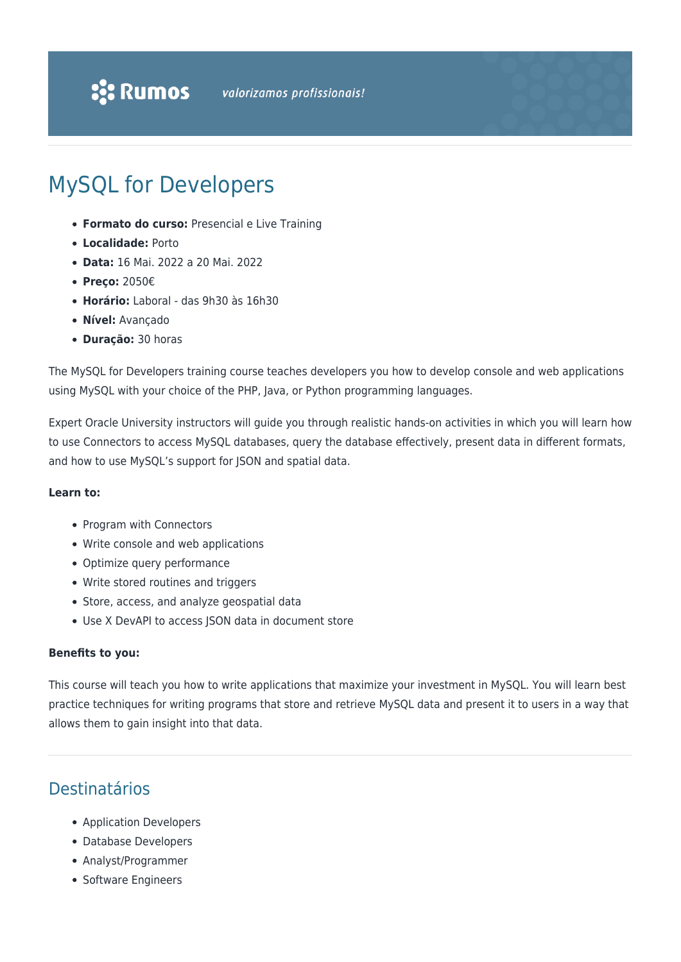# MySQL for Developers

- **Formato do curso:** Presencial e Live Training
- **Localidade:** Porto
- **Data:** 16 Mai. 2022 a 20 Mai. 2022
- **Preço:** 2050€
- **Horário:** Laboral das 9h30 às 16h30
- **Nível:** Avançado
- **Duração:** 30 horas

The MySQL for Developers training course teaches developers you how to develop console and web applications using MySQL with your choice of the PHP, Java, or Python programming languages.

Expert Oracle University instructors will guide you through realistic hands-on activities in which you will learn how to use Connectors to access MySQL databases, query the database effectively, present data in different formats, and how to use MySQL's support for JSON and spatial data.

#### **Learn to:**

- Program with Connectors
- Write console and web applications
- Optimize query performance
- Write stored routines and triggers
- Store, access, and analyze geospatial data
- Use X DevAPI to access JSON data in document store

#### **Benefits to you:**

This course will teach you how to write applications that maximize your investment in MySQL. You will learn best practice techniques for writing programs that store and retrieve MySQL data and present it to users in a way that allows them to gain insight into that data.

## Destinatários

- Application Developers
- Database Developers
- Analyst/Programmer
- Software Engineers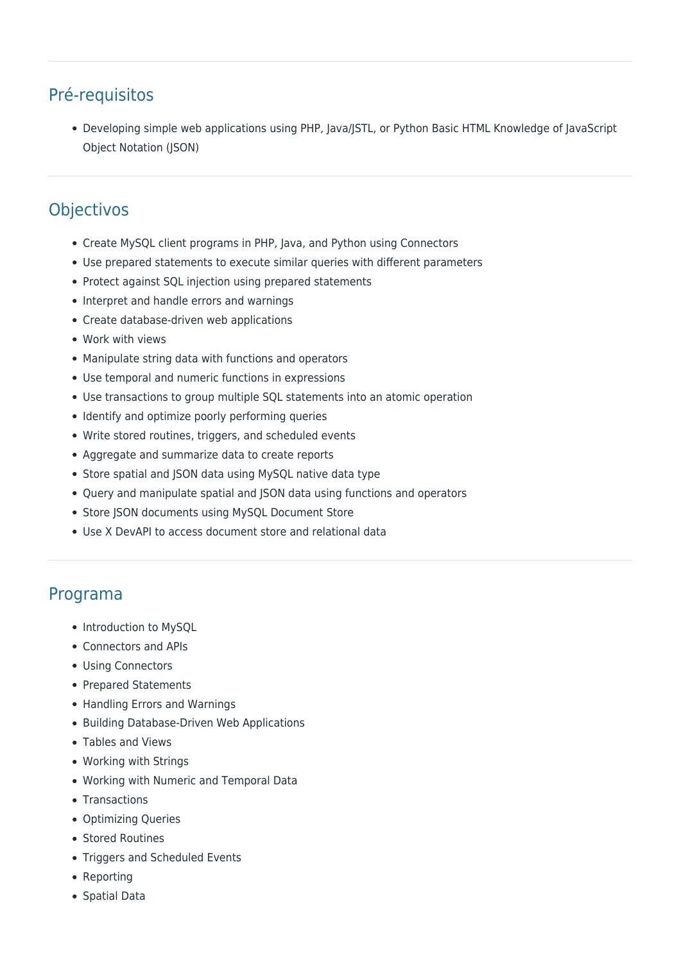# Pré-requisitos

Developing simple web applications using PHP, Java/JSTL, or Python Basic HTML Knowledge of JavaScript Object Notation (JSON)

# **Objectivos**

- Create MySQL client programs in PHP, Java, and Python using Connectors
- Use prepared statements to execute similar queries with different parameters
- Protect against SQL injection using prepared statements
- Interpret and handle errors and warnings
- Create database-driven web applications
- Work with views
- Manipulate string data with functions and operators
- Use temporal and numeric functions in expressions
- Use transactions to group multiple SQL statements into an atomic operation
- Identify and optimize poorly performing queries
- Write stored routines, triggers, and scheduled events
- Aggregate and summarize data to create reports
- Store spatial and JSON data using MySQL native data type
- Query and manipulate spatial and JSON data using functions and operators
- Store JSON documents using MySQL Document Store
- Use X DevAPI to access document store and relational data

## Programa

- Introduction to MySQL
- Connectors and APIs
- Using Connectors
- Prepared Statements
- Handling Errors and Warnings
- Building Database-Driven Web Applications
- Tables and Views
- Working with Strings
- Working with Numeric and Temporal Data
- Transactions
- Optimizing Queries
- Stored Routines
- Triggers and Scheduled Events
- Reporting
- Spatial Data